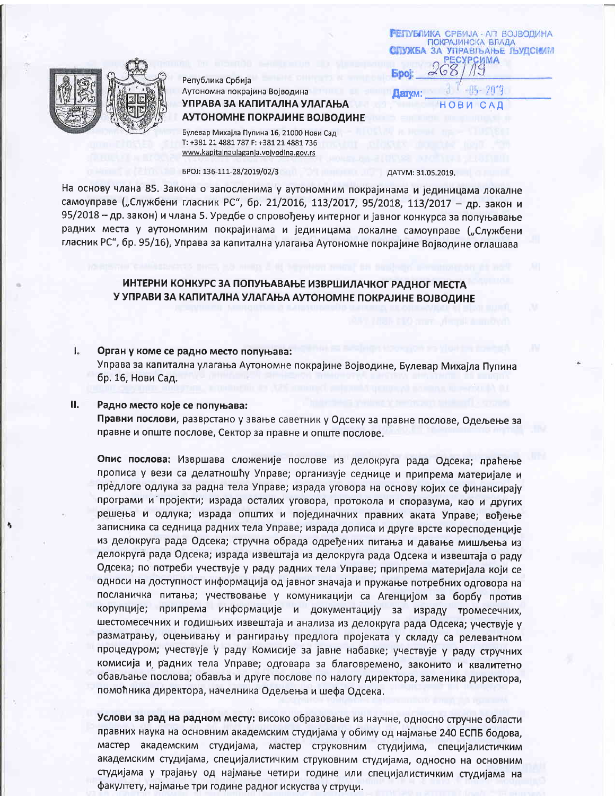

Република Србија Аутономна покрајина Војводина УПРАВА ЗА КАПИТАЛНА УЛАГАЊА АУТОНОМНЕ ПОКРАЈИНЕ ВОЈВОДИНЕ

Булевар Михајла Пупина 16, 21000 Нови Сад T: +381 21 4881 787 F: +381 21 4881 736 www.kapitalnaulaganja.vojvodina.gov.rs

## БРОЈ: 136-111-28/2019/02/3

### ДАТУМ: 31.05.2019.

**RETVM:** 

**РЕПУБЛИКА СРБИЈА - АП ВОЈВОДИНА ПОКРАЈИНСКА ВЛАДА** 

> нο B

ЗА УПРАВЉАЊЕ ЉУДСИМИ СУРСИМА

7019

 $C$  A

На основу члана 85. Закона о запосленима у аутономним покрајинама и јединицама локалне самоуправе ("Службени гласник РС", бр. 21/2016, 113/2017, 95/2018, 113/2017 - др. закон и 95/2018 - др. закон) и члана 5. Уредбе о спровођењу интерног и јавног конкурса за попуњавање радних места у аутономним покрајинама и јединицама локалне самоуправе ("Службени гласник РС", бр. 95/16), Управа за капитална улагања Аутономне покрајине Војводине оглашава

# ИНТЕРНИ КОНКУРС ЗА ПОПУЊАВАЊЕ ИЗВРШИЛАЧКОГ РАДНОГ МЕСТА У УПРАВИ ЗА КАПИТАЛНА УЛАГАЊА АУТОНОМНЕ ПОКРАЈИНЕ ВОЈВОДИНЕ

#### L. Орган у коме се радно место попуњава:

Управа за капитална улагања Аутономне покрајине Војводине, Булевар Михајла Пупина бр. 16, Нови Сад.

#### Ⅱ. Радно место које се попуњава:

Правни послови, разврстано у звање саветник у Одсеку за правне послове, Одељење за правне и опште послове, Сектор за правне и опште послове.

Опис послова: Извршава сложеније послове из делокруга рада Одсека; праћење прописа у вези са делатношћу Управе; организује седнице и припрема материјале и предлоге одлука за радна тела Управе; израда уговора на основу којих се финансирају програми и пројекти; израда осталих уговора, протокола и споразума, као и других решења и одлука; израда општих и појединачних правних аката Управе; вођење записника са седница радних тела Управе; израда дописа и друге врсте коресподенције из делокруга рада Одсека; стручна обрада одређених питања и давање мишљења из делокруга рада Одсека; израда извештаја из делокруга рада Одсека и извештаја о раду Одсека; по потреби учествује у раду радних тела Управе; припрема материјала који се односи на доступност информација од јавног значаја и пружање потребних одговора на посланичка питања; учествовање у комуникацији са Агенцијом за борбу против корупције; припрема информације и документацију за израду тромесечних, шестомесечних и годишњих извештаја и анализа из делокруга рада Одсека; учествује у разматрању, оцењивању и рангирању предлога пројеката у складу са релевантном процедуром; учествује у раду Комисије за јавне набавке; учествује у раду стручних комисија и радних тела Управе; одговара за благовремено, законито и квалитетно обављање послова; обавља и друге послове по налогу директора, заменика директора, помоћника директора, начелника Одељења и шефа Одсека.

Услови за рад на радном месту: високо образовање из научне, односно стручне области правних наука на основним академским студијама у обиму од најмање 240 ЕСПБ бодова, мастер академским студијама, мастер струковним студијима, специјалистичким академским студијама, специјалистичким струковним студијама, односно на основним студијама у трајању од најмање четири године или специјалистичким студијама на факултету, најмање три године радног искуства у струци.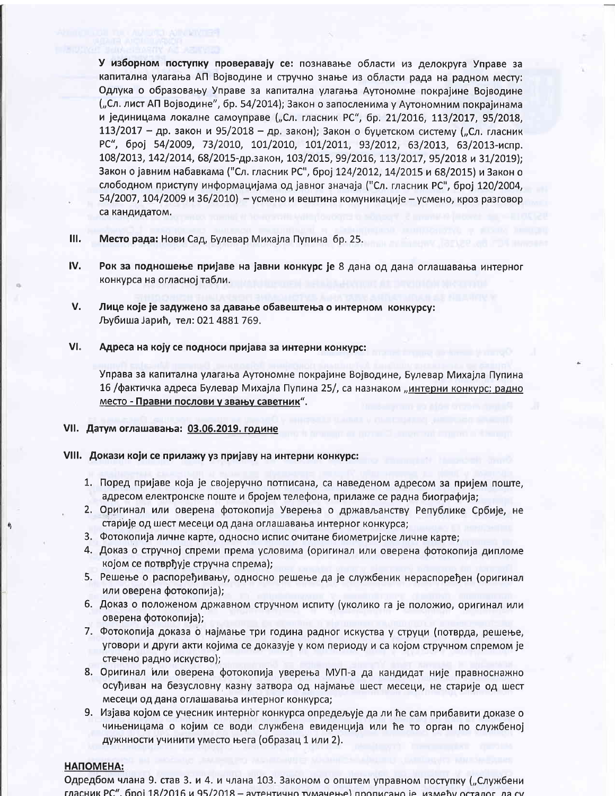У изборном поступку проверавају се: познавање области из делокруга Управе за капитална улагања АП Војводине и стручно знање из области рада на радном месту: Одлука о образовању Управе за капитална улагања Аутономне покрајине Војводине ("Сл. лист АП Војводине", бр. 54/2014); Закон о запосленима у Аутономним покрајинама и јединицама локалне самоуправе ("Сл. гласник РС", бр. 21/2016, 113/2017, 95/2018, 113/2017 - др. закон и 95/2018 - др. закон); Закон о буџетском систему ("Сл. гласник РС", број 54/2009, 73/2010, 101/2010, 101/2011, 93/2012, 63/2013, 63/2013-испр. 108/2013, 142/2014, 68/2015-др.закон, 103/2015, 99/2016, 113/2017, 95/2018 и 31/2019); Закон о јавним набавкама ("Сл. гласник РС", број 124/2012, 14/2015 и 68/2015) и Закон о слободном приступу информацијама од јавног значаја ("Сл. гласник РС", број 120/2004, 54/2007, 104/2009 и 36/2010) - усмено и вештина комуникације - усмено, кроз разговор са кандидатом.

Ш. Место рада: Нови Сад, Булевар Михајла Пупина бр. 25.

- IV. Рок за подношење пријаве на јавни конкурс је 8 дана од дана оглашавања интерног конкурса на огласној табли.
- V. Лице које је задужено за давање обавештења о интерном конкурсу: Љубиша Јарић, тел: 021 4881 769.

#### VI. Адреса на коју се подноси пријава за интерни конкурс:

Управа за капитална улагања Аутономне покрајине Војводине, Булевар Михајла Пупина 16 /фактичка адреса Булевар Михајла Пупина 25/, са назнаком "интерни конкурс: радно место - Правни послови у звању саветник".

# VII. Датум оглашавања: 03.06.2019. године

# VIII. Докази који се прилажу уз пријаву на интерни конкурс:

- 1. Поред пријаве која је својеручно потписана, са наведеном адресом за пријем поште, адресом електронске поште и бројем телефона, прилаже се радна биографија;
- 2. Оригинал или оверена фотокопија Уверења о држављанству Републике Србије, не старије од шест месеци од дана оглашавања интерног конкурса;
- 3. Фотокопија личне карте, односно испис очитане биометријске личне карте;
- 4. Доказ о стручној спреми према условима (оригинал или оверена фотокопија дипломе којом се потврђује стручна спрема);
- 5. Решење о распоређивању, односно решење да је службеник нераспоређен (оригинал или оверена фотокопија);
- 6. Доказ о положеном државном стручном испиту (уколико га је положио, оригинал или оверена фотокопија);
- 7. Фотокопија доказа о најмање три година радног искуства у струци (потврда, решење, уговори и други акти којима се доказује у ком периоду и са којом стручном спремом је стечено радно искуство);
- 8. Оригинал или оверена фотокопија уверења МУП-а да кандидат није правноснажно осуђиван на безусловну казну затвора од најмање шест месеци, не старије од шест месеци од дана оглашавања интерног конкурса;
- 9. Изјава којом се учесник интерног конкурса опредељује да ли ће сам прибавити доказе о чињеницама о којим се води службена евиденција или ће то орган по службеној дужнности учинити уместо њега (образац 1 или 2).

# НАПОМЕНА:

Одредбом члана 9. став 3. и 4. и члана 103. Законом о општем управном поступку ("Службени гласник РС", број 18/2016 и 95/2018 - аутентично тумачење) прописано је, између осталог, да су